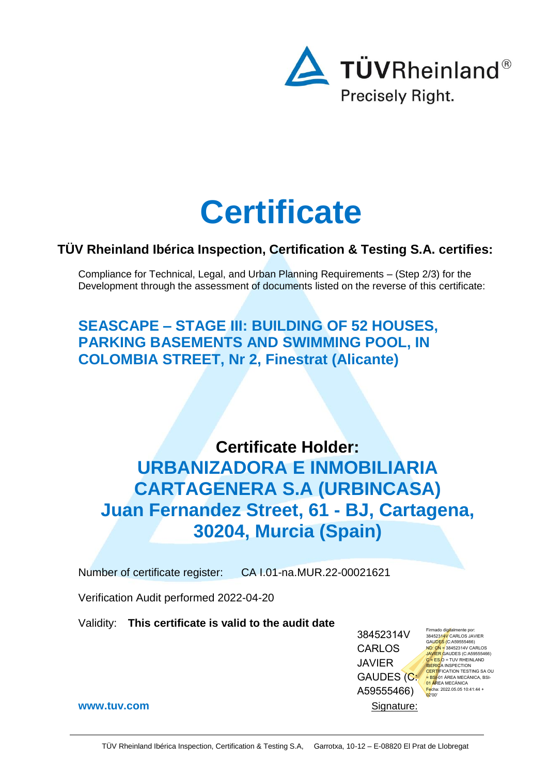

# **Certificate**

# **TÜV Rheinland Ibérica Inspection, Certification & Testing S.A. certifies:**

Compliance for Technical, Legal, and Urban Planning Requirements – (Step 2/3) for the Development through the assessment of documents listed on the reverse of this certificate:

**SEASCAPE – STAGE III: BUILDING OF 52 HOUSES, PARKING BASEMENTS AND SWIMMING POOL, IN COLOMBIA STREET, Nr 2, Finestrat (Alicante)**

**Certificate Holder: URBANIZADORA E INMOBILIARIA CARTAGENERA S.A (URBINCASA) Juan Fernandez Street, 61 - BJ, Cartagena, 30204, Murcia (Spain)**

Number of certificate register: CA I.01-na.MUR.22-00021621

Verification Audit performed 2022-04-20

Validity: **This certificate is valid to the audit date**

38452314V CARLOS JAVIER GAUDES (C: A59555466)

Firmado digitalmente por: 38452314V CARLOS JAVIER GAUDES (C:A59555466) N<mark>D: CN =</mark> 38452314V CARLOS<br>JAVIER GAUDES (C:A59555466)<br><mark>C = ES O</mark> = TUV RHEINLAND <mark>IBERIC</mark>A INSPECTION<br><mark>CERTI</mark>FICATION TESTING SA OU<br><mark>≐ BSI</mark>-01 ÁREA MECÁNICA, BSI-01 ÁREA MECÁNICA Fecha: 2022.05.05 10:41:44 + 02'00'

**[www.tuv.com](http://www.tuv.com/)** Signature: The Signature: Signature: Signature: Signature: Signature: Signature: Signature: Signature: Signature: Signature: Signature: Signature: Signature: Signature: Signature: Signature: Signature: Signat